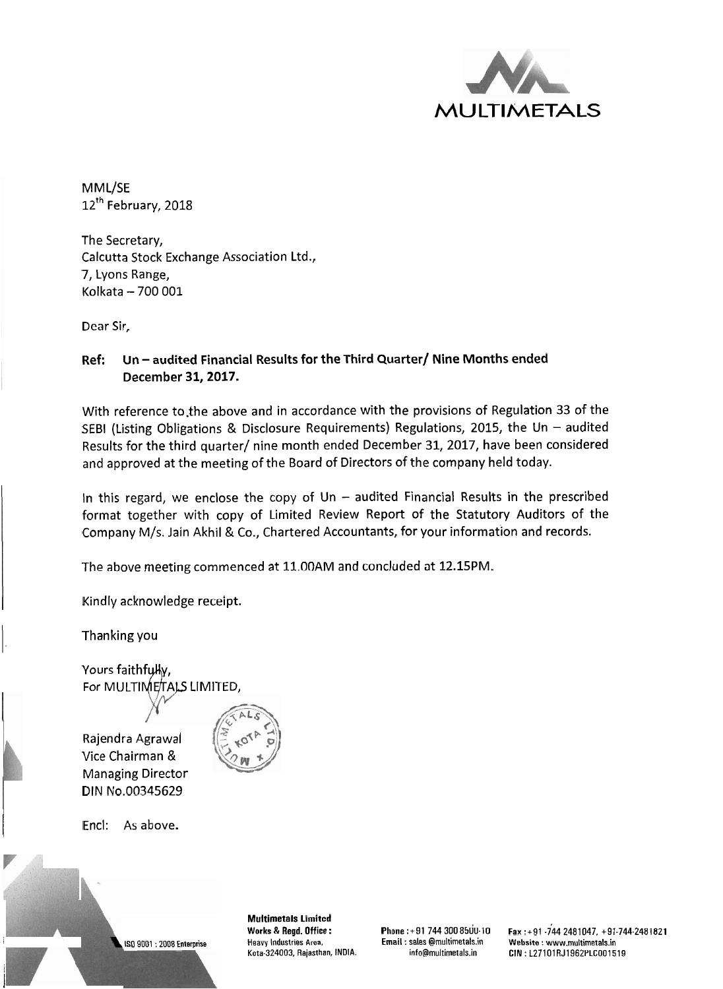

MML/SE 12<sup>th</sup> February, 2018

The Secretary, Calcutta Stock Exchange Association Ltd., 7, Lyons Range, Kolkata - 700 001

Dear Sir,

### Ref: Un - audited Financial Results for the Third Quarter/ Nine Months ended December 31,2017.

With reference to the above and in accordance with the provisions of Regulation 33 of the SEBI (Listing Obligations & Disclosure Requirements) Regulations, 2015, the Un – audited Results for the third quarter/ nine month ended December 31, 2017, have been considered and approved at the meeting of the Board of Directors of the company held today.

In this regard, we enclose the copy of  $Un -$  audited Financial Results in the prescribed format together with copy of Limited Review Report of the Statutory Auditors of the Company M/s. Jain Akhil & Co., Chartered Accountants, for your information and records.

The above meeting commenced at 11.00AM and concluded at 12.15PM.

Kindly acknowledge receipt.

1. Thanking you

Yours faithfully, For MULTIMETALS LIMITED,

Rajendra Agrawal Vice Chairman & Managing Director DIN No.00345629



Encl: As above.

i I



**Multimetals Limited** 

I Is0 9001 : 2008 Enterprise Heavy Industries Area. Email : sales @rnultirnetals.in **Website** : www.rnultirnetals.in

**Works** & **Regd. Office** : Phone :+91 744 300 8500-10 Fax :+91 .744 2481047, +91-744-2481821 Kata-324003, Rajasthan, INDIA. info@rnultimetals.in **CIN** : L27101RJ1962PLCO01519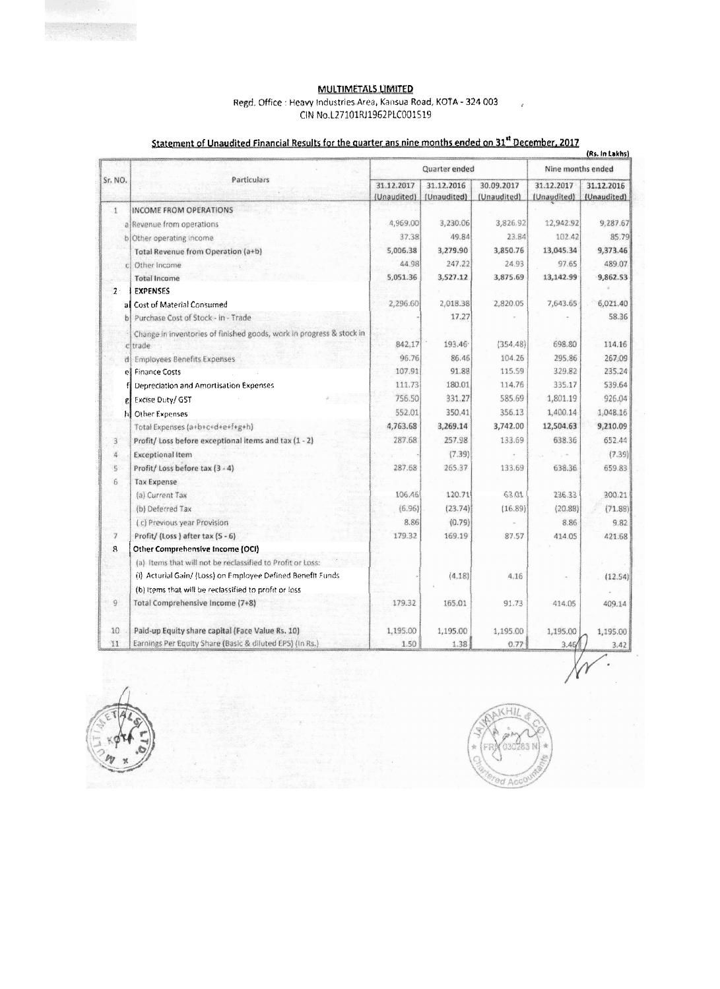MULTIMETALS LIMITED Regd. Office : Heavy Industries Area, Kansua Road, KOTA - 324 003 CIN No.L27101RJ1962PLC001519

## Statement of Unaudited Financial Results for the quarter ans nine months ended on 31<sup>st</sup> December, 2017

| Sr. NO.                     | Particulars                                                          | Quarter ended             |                           |                           | Nine months ended         |                           |
|-----------------------------|----------------------------------------------------------------------|---------------------------|---------------------------|---------------------------|---------------------------|---------------------------|
|                             |                                                                      | 31.12.2017<br>(Unaudited) | 31.12.2016<br>(Unaudited) | 30.09.2017<br>(Unaudited) | 31.12.2017<br>(Unaudited) | 31.12.2016<br>(Unaudited) |
| $\mathbf{1}$                | INCOME FROM OPERATIONS                                               |                           |                           |                           |                           |                           |
|                             | al Revenue from operations                                           | 4,969.00                  | 3,230.06                  | 3,826.92                  | 12,942.92                 | 9,287.67                  |
|                             | b) Other operating income                                            | 37.38                     | 49.84                     | 23.84                     | 102.42                    | 85.79                     |
|                             | Total Revenue from Operation (a+b)                                   | 5,006.38                  | 3,279.90                  | 3,850.76                  | 13,045.34                 | 9,373.46                  |
|                             | Other Income                                                         | 44.98                     | 247.22                    | 24.93                     | 97.65                     | 489.07                    |
|                             | Total Income                                                         | 5,051.36                  | 3,527.12                  | 3,875.69                  | 13,142.99                 | 9,862.53                  |
| $2 -$                       | <b>EXPENSES</b>                                                      |                           |                           |                           |                           |                           |
|                             | al Cost of Material Consumed                                         | 2,296.60                  | 2,018.38                  | 2,820.05                  | 7,643.65                  | 6,021.40                  |
|                             | Purchase Cost of Stock - in - Trade                                  |                           | 17.27                     |                           |                           | 58.36                     |
|                             | Change in inventories of finished goods, work in progress & stock in |                           |                           |                           |                           |                           |
|                             | citrade                                                              | 842.17                    | 193.46                    | (354.48)                  | 698.80                    | 114.16                    |
|                             | di Employees Benefits Expenses                                       | 96.76                     | 86.46                     | 104.26                    | 295.86                    | 267.09                    |
| el                          | <b>Finance Costs</b>                                                 | 107.91                    | 91.88                     | 115.59                    | 329.82                    | 235.24                    |
|                             | Depreciation and Amortisation Expenses                               | 111.73                    | 180.01                    | 114.76                    | 335.17                    | 539.64                    |
|                             | Excise Duty/ GST                                                     | 756.50                    | 331.27                    | 585.69                    | 1,801.19                  | 926.04                    |
| hI                          | Other Expenses                                                       | 552.01                    | 350.41                    | 356.13                    | 1,400.14                  | 1,048.16                  |
|                             | Total Expenses (a+b+c+d+e+f+g+h)                                     | 4,763.68                  | 3,269.14                  | 3,742.00                  | 12,504.63                 | 9,210.09                  |
| $\ensuremath{\mathfrak{Z}}$ | Profit/ Loss before exceptional items and tax (1 - 2)                | 287.68                    | 257.98                    | 133.69                    | 638.36                    | 652.44                    |
| 4                           | <b>Exceptional Item</b>                                              |                           | (7.39)                    |                           |                           | (7.39)                    |
| $\mathbb{S}$                | Profit/Loss before tax (3 - 4)                                       | 287.68                    | 265.37                    | 133.69                    | 638.36                    | 659.83                    |
| 6                           | <b>Tax Expense</b>                                                   |                           |                           |                           |                           |                           |
|                             | (a) Current Tax                                                      | 106.46                    | 120.71                    | 63.01                     | 236.33                    | 300.21                    |
|                             | (b) Deferred Tax                                                     | (6.96)                    | (23.74)                   | (16.89)                   | (20.88)                   | (71.88)                   |
|                             | (c) Previous year Provision                                          | 8.86                      | (0.79)                    |                           | 8.86                      | 9.82                      |
| $\overline{\gamma}$         | Profit/(Loss) after tax (5 - 6)                                      | 179.32                    | 169.19                    | 87.57                     | 414.05                    | 421.68                    |
| 8                           | Other Comprehensive Income (OCI)                                     |                           |                           |                           |                           |                           |
|                             | (a) Items that will not be reclassified to Profit or Loss:           |                           |                           |                           |                           |                           |
|                             | (i) Acturial Gain/ (Loss) on Employee Defined Benefit Funds          |                           | (4.18)                    | 4.16                      |                           | (12.54)                   |
|                             | (b) Items that will be reclassified to profit or loss                |                           |                           |                           |                           |                           |
| $\overline{9}$              | Total Comprehensive Income (7+8)                                     | 179.32                    | 165.01                    | 91.73                     | 414.05                    | 409.14                    |
| 10                          | Paid-up Equity share capital (Face Value Rs. 10)                     | 1,195.00                  | 1,195.00                  | 1,195.00                  | 1,195.00                  | 1,195.00                  |
| 11                          | Earnings Per Equity Share (Basic & diluted EPS) (In Rs.)             | 1.50                      | 1.38                      | 0.77                      | 3.46/                     | 3.42                      |





 $\overline{\phantom{a}}$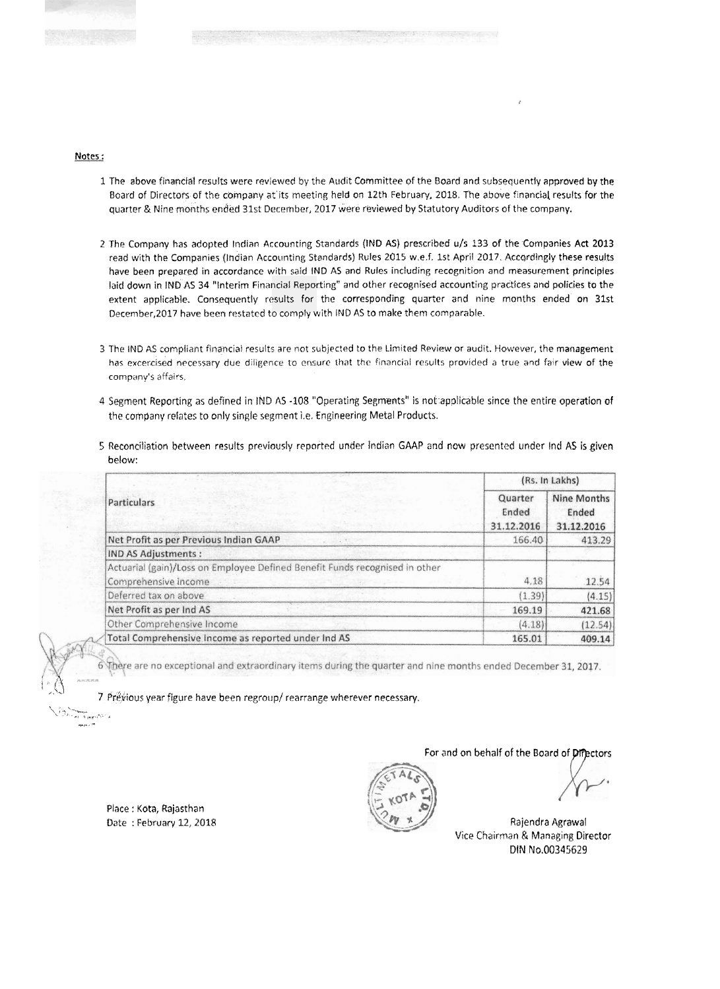

### **Nates** :

- 1 The above financial results were reviewed by the Audit Committee of the Board and subsequently approved by the Board of Directors of the company at its meeting held on 12th February, 2018. The above financial results for the quarter & Nine months ended 31st December, 2017 were reviewed by Statutory Auditors of the company.
- 2 The Company has adopted Indian Accounting Standards (IND AS) prescribed u/s 133 of the Companies Act 2013 read with the Companies (Indian Accounting Standards) Rules 2015 w.e.f. 1st April 2017. Accordingly these results have been prepared in accordance with said IND AS and Rules including recognition and measurement principles laid down in IND AS 34 "Interim Financial Reporting" and other recognised accounting practices and policies to the extent applicable. Consequently results for the corresponding quarter and nine months ended on 31st December, 2017 have been restated to comply with **IND AS to make them comparable**.
- 3 The IND AS compliant financial results are not subjected to the Limited Review or audit. However, the management has excercised necessary due diligence to ensure that the financial results provided a true and fair view of the company's affairs,
- 4 Segment Reporting as defined in IND AS -108 "Operating Segments" is not applicable since the entire operation of the company relates to only single segment i.e. Engineering Metal Products.
- 5 Reconciliation between results previously reported under Indian GAAP and now presented under Ind AS is given below:

|                                                                             | (Rs. In Lakhs)                 |                                    |  |  |
|-----------------------------------------------------------------------------|--------------------------------|------------------------------------|--|--|
| Particulars                                                                 | Quarter<br>Ended<br>31.12.2016 | Nine Months<br>Ended<br>31.12.2016 |  |  |
| Net Profit as per Previous Indian GAAP                                      | 166.40                         | 413.29                             |  |  |
| <b>IND AS Adjustments:</b>                                                  |                                |                                    |  |  |
| Actuarial (gain)/Loss on Employee Defined Benefit Funds recognised in other |                                |                                    |  |  |
| Comprehensive income                                                        | 4.18                           | 12.54                              |  |  |
| Deferred tax on above                                                       | (1.39)                         | (4.15)                             |  |  |
| Net Profit as per Ind AS                                                    | 169.19                         | 421.68                             |  |  |
| Other Comprehensive Income                                                  | (4.18)                         | (12.54)                            |  |  |
| Total Comprehensive Income as reported under Ind AS                         | 165.01                         | 409.14                             |  |  |

There are no exceptional and extraordinary items during the quarter and nine months ended December 31, 2017.

7 Prévious year figure have been regroup/ rearrange wherever necessary.  $\sqrt{3}$ .  $\sqrt{3}$ 

Place : Kota, Rajasthan

 $\mathbb{R}^4$ 

r<br>a - s gegnifi<sup>e -</sup> 4 - . **7** "



Date : February 12, 2018 Rajendra Agrawal Vice Chairman & Managing Director DIN No.00345629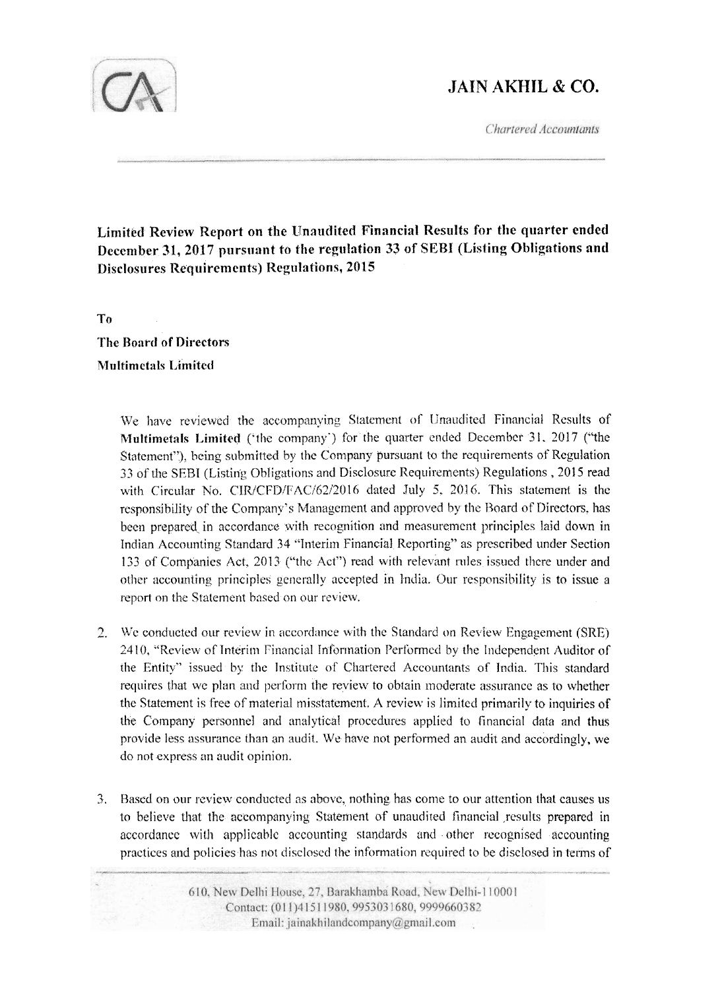# **JAIN AKHIL & CO.**

Chartered Accountants



Limited Review Report on the Unaudited Financial Results for the quarter ended December 31, 2017 pursuant to the regulation 33 of SEBI (Listing Obligations and **Disclosures Requirements) Regulations, 2015** 

T<sub>0</sub> **The Board of Directors Multimetals Limited** 

> We have reviewed the accompanying Statement of Unaudited Financial Results of Multimetals Limited ('the company') for the quarter ended December 31, 2017 ("the Statement"), being submitted by the Company pursuant to the requirements of Regulation 33 of the SEBI (Listing Obligations and Disclosure Requirements) Regulations, 2015 read with Circular No. CIR/CFD/FAC/62/2016 dated July 5, 2016. This statement is the responsibility of the Company's Management and approved by the Board of Directors, has been prepared in accordance with recognition and measurement principles laid down in Indian Accounting Standard 34 "Interim Financial Reporting" as prescribed under Section 133 of Companies Act, 2013 ("the Act") read with relevant rules issued there under and other accounting principles generally accepted in India. Our responsibility is to issue a report on the Statement based on our review.

- We conducted our review in accordance with the Standard on Review Engagement (SRE)  $2.$ 2410, "Review of Interim Financial Information Performed by the Independent Auditor of the Entity" issued by the Institute of Chartered Accountants of India. This standard requires that we plan and perform the review to obtain moderate assurance as to whether the Statement is free of material misstatement. A review is limited primarily to inquiries of the Company personnel and analytical procedures applied to financial data and thus provide less assurance than an audit. We have not performed an audit and accordingly, we do not express an audit opinion.
- 3. Based on our review conducted as above, nothing has come to our attention that causes us to believe that the accompanying Statement of unaudited financial results prepared in accordance with applicable accounting standards and other recognised accounting practices and policies has not disclosed the information required to be disclosed in terms of